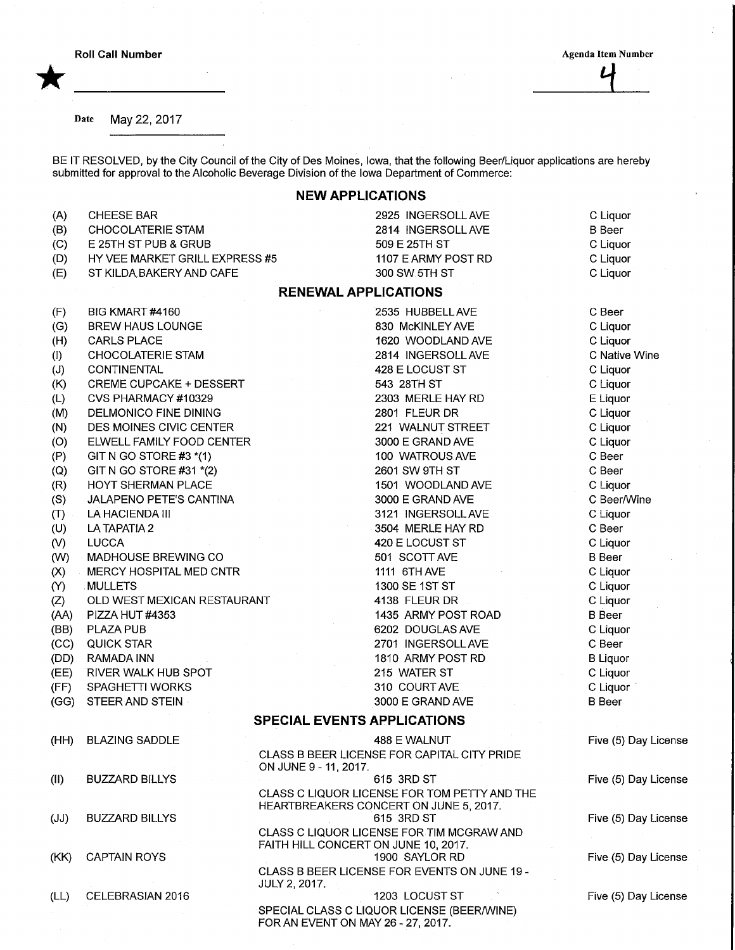\*

Date May 22, 2017

BE IT RESOLVED, by the City Council of the City of Des Moines, Iowa, that the following Beer/Liquor applications are hereby submitted for approval to the Alcoholic Beverage Division of the Iowa Department of Commerce:

## NEW APPLICATIONS

| (A)               | <b>CHEESE BAR</b>              | 2925 INGERSOLL AVE                                                                     | C Liquor             |
|-------------------|--------------------------------|----------------------------------------------------------------------------------------|----------------------|
| (B)               | <b>CHOCOLATERIE STAM</b>       | 2814 INGERSOLL AVE                                                                     | <b>B</b> Beer        |
| (C)               | E 25TH ST PUB & GRUB           | 509 E 25TH ST                                                                          | C Liquor             |
| (D)               | HY VEE MARKET GRILL EXPRESS #5 | 1107 E ARMY POST RD                                                                    | C Liquor             |
| (E)               | ST KILDA BAKERY AND CAFE       | 300 SW 5TH ST                                                                          | C Liquor             |
|                   |                                | <b>RENEWAL APPLICATIONS</b>                                                            |                      |
| (F)               | BIG KMART #4160                | 2535 HUBBELL AVE                                                                       | C Beer               |
| (G)               | <b>BREW HAUS LOUNGE</b>        | 830 McKINLEY AVE                                                                       | C Liquor             |
| (H)               | <b>CARLS PLACE</b>             | 1620 WOODLAND AVE                                                                      | C Liquor             |
| (1)               | <b>CHOCOLATERIE STAM</b>       | 2814 INGERSOLL AVE                                                                     | C Native Wine        |
| (J)               | <b>CONTINENTAL</b>             | 428 E LOCUST ST                                                                        | C Liquor             |
| (K)               | <b>CREME CUPCAKE + DESSERT</b> | 543 28TH ST                                                                            | C Liquor             |
| (L)               | CVS PHARMACY #10329            | 2303 MERLE HAY RD                                                                      | E Liquor             |
| (M)               | DELMONICO FINE DINING          | 2801 FLEUR DR                                                                          | C Liquor             |
| (N)               | DES MOINES CIVIC CENTER        | 221 WALNUT STREET                                                                      | C Liquor             |
| (O)               | ELWELL FAMILY FOOD CENTER      | 3000 E GRAND AVE                                                                       | C Liquor             |
| (P)               | GIT N GO STORE #3 $*(1)$       | 100 WATROUS AVE                                                                        | C Beer               |
| $\left( Q\right)$ | GIT N GO STORE #31 *(2)        | 2601 SW 9TH ST                                                                         | C Beer               |
| (R)               | HOYT SHERMAN PLACE             | 1501 WOODLAND AVE                                                                      | C Liquor             |
| (S)               | JALAPENO PETE'S CANTINA        | 3000 E GRAND AVE                                                                       | C Beer/Wine          |
| (T)               | LA HACIENDA III                | 3121 INGERSOLL AVE                                                                     | C Liquor             |
| (U)               | LA TAPATIA 2                   | 3504 MERLE HAY RD                                                                      | C Beer               |
| $\mathcal{N}$     | <b>LUCCA</b>                   | 420 E LOCUST ST                                                                        | C Liquor             |
| (W)               | MADHOUSE BREWING CO            | 501 SCOTT AVE                                                                          | <b>B</b> Beer        |
| (X)               | MERCY HOSPITAL MED CNTR        | 1111 6TH AVE                                                                           | C Liquor             |
| $\infty$          | MULLETS                        | 1300 SE 1ST ST                                                                         | C Liquor             |
| (Z)               | OLD WEST MEXICAN RESTAURANT    | 4138 FLEUR DR                                                                          | C Liquor             |
| (AA)              | PIZZA HUT #4353                | 1435 ARMY POST ROAD                                                                    | <b>B</b> Beer        |
| (BB)              | <b>PLAZA PUB</b>               | 6202 DOUGLAS AVE                                                                       | C Liquor             |
| (CC)              | <b>QUICK STAR</b>              | 2701 INGERSOLL AVE                                                                     | C Beer               |
| (DD)              | RAMADA INN                     | 1810 ARMY POST RD                                                                      | <b>B</b> Liquor      |
| (EE)              | RIVER WALK HUB SPOT            | 215 WATER ST                                                                           | C Liquor             |
| (FF)              | SPAGHETTI WORKS                | 310 COURT AVE                                                                          | C Liquor             |
| (GG)              | STEER AND STEIN                | 3000 E GRAND AVE                                                                       | <b>B</b> Beer        |
|                   |                                | <b>SPECIAL EVENTS APPLICATIONS</b>                                                     |                      |
|                   | (HH) BLAZING SADDLE            | 488 E WALNUT                                                                           | Five (5) Day License |
|                   |                                | CLASS B BEER LICENSE FOR CAPITAL CITY PRIDE<br>ON JUNE 9 - 11, 2017.                   |                      |
| (11)              | <b>BUZZARD BILLYS</b>          | 615 3RD ST                                                                             | Five (5) Day License |
|                   |                                | CLASS C LIQUOR LICENSE FOR TOM PETTY AND THE<br>HEARTBREAKERS CONCERT ON JUNE 5, 2017. |                      |
| (JJ)              | <b>BUZZARD BILLYS</b>          | 615 3RD ST<br>CLASS C LIQUOR LICENSE FOR TIM MCGRAW AND                                | Five (5) Day License |
| (KK)              | <b>CAPTAIN ROYS</b>            | FAITH HILL CONCERT ON JUNE 10, 2017.<br>1900 SAYLOR RD                                 | Five (5) Day License |
|                   |                                | CLASS B BEER LICENSE FOR EVENTS ON JUNE 19 -<br><b>JULY 2, 2017.</b>                   |                      |
| (LL)              | CELEBRASIAN 2016               | 1203 LOCUST ST                                                                         | Five (5) Day License |

SPECIAL CLASS C LIQUOR LICENSE (BEER/WINE)

FOR AN EVENT ON MAY 26 - 27, 2017.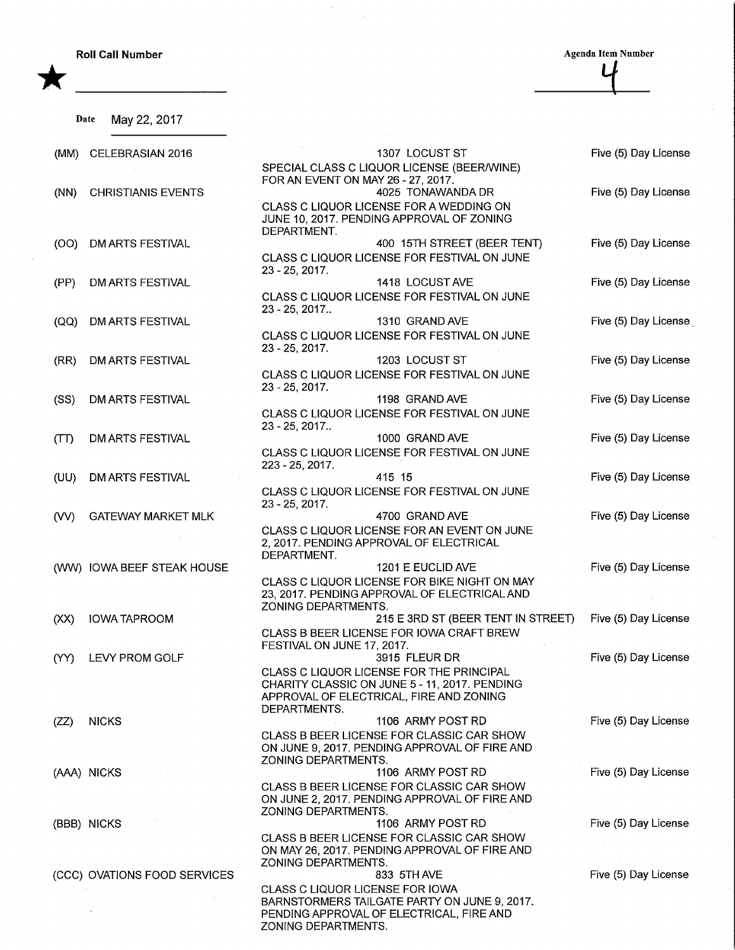**Roll Call Number** Agenda Item Number Agenda Item Number

Date May 22, 2017

\*

 $\frac{4}{1}$ 

| (MM) | CELEBRASIAN 2016             | 1307 LOCUST ST                                                                                                    | Five (5) Day License  |
|------|------------------------------|-------------------------------------------------------------------------------------------------------------------|-----------------------|
|      |                              | SPECIAL CLASS C LIQUOR LICENSE (BEER/WINE)                                                                        |                       |
| (NN) | <b>CHRISTIANIS EVENTS</b>    | FOR AN EVENT ON MAY 26 - 27, 2017.<br>4025 TONAWANDA DR                                                           | Five (5) Day License  |
|      |                              | CLASS C LIQUOR LICENSE FOR A WEDDING ON<br>JUNE 10, 2017. PENDING APPROVAL OF ZONING                              |                       |
| (OO) | <b>DM ARTS FESTIVAL</b>      | DEPARTMENT.<br>400 15TH STREET (BEER TENT)                                                                        | Five (5) Day License  |
|      |                              | CLASS C LIQUOR LICENSE FOR FESTIVAL ON JUNE<br>23 - 25, 2017.                                                     |                       |
| (PP) | <b>DM ARTS FESTIVAL</b>      | 1418 LOCUST AVE                                                                                                   | Five (5) Day License  |
|      |                              | CLASS C LIQUOR LICENSE FOR FESTIVAL ON JUNE<br>23 - 25, 2017                                                      |                       |
| (QQ) | DM ARTS FESTIVAL             | 1310 GRAND AVE                                                                                                    | Five (5) Day License  |
|      |                              | CLASS C LIQUOR LICENSE FOR FESTIVAL ON JUNE<br>$23 - 25, 2017.$                                                   |                       |
| (RR) | DM ARTS FESTIVAL             | 1203 LOCUST ST                                                                                                    | Five (5) Day License  |
|      |                              | CLASS C LIQUOR LICENSE FOR FESTIVAL ON JUNE<br>$23 - 25$ , 2017.                                                  |                       |
| (SS) | DM ARTS FESTIVAL             | 1198 GRAND AVE                                                                                                    | Five (5) Day License  |
|      |                              | CLASS C LIQUOR LICENSE FOR FESTIVAL ON JUNE<br>$23 - 25, 2017$                                                    |                       |
| (TT) | <b>DM ARTS FESTIVAL</b>      | 1000 GRAND AVE                                                                                                    | Five (5) Day License  |
|      |                              | CLASS C LIQUOR LICENSE FOR FESTIVAL ON JUNE<br>223 - 25, 2017.                                                    |                       |
| (UU) | <b>DM ARTS FESTIVAL</b>      | 415 15                                                                                                            | Five (5) Day License  |
|      |                              | CLASS C LIQUOR LICENSE FOR FESTIVAL ON JUNE<br>23 - 25, 2017.                                                     |                       |
| (VV) | <b>GATEWAY MARKET MLK</b>    | 4700 GRAND AVE                                                                                                    | Five (5) Day License  |
|      |                              | CLASS C LIQUOR LICENSE FOR AN EVENT ON JUNE<br>2, 2017. PENDING APPROVAL OF ELECTRICAL<br>DEPARTMENT.             |                       |
|      | (WW) IOWA BEEF STEAK HOUSE   | 1201 E EUCLID AVE                                                                                                 | Five (5) Day License  |
|      |                              | CLASS C LIQUOR LICENSE FOR BIKE NIGHT ON MAY<br>23, 2017. PENDING APPROVAL OF ELECTRICAL AND                      |                       |
| (XX) | <b>IOWA TAPROOM</b>          | ZONING DEPARTMENTS.<br>215 E 3RD ST (BEER TENT IN STREET)                                                         | Five (5) Day License  |
|      |                              | CLASS B BEER LICENSE FOR IOWA CRAFT BREW<br>FESTIVAL ON JUNE 17, 2017.                                            |                       |
| (YY) | LEVY PROM GOLF               | 3915 FLEUR DR                                                                                                     | Five (5) Day License  |
|      |                              | CLASS C LIQUOR LICENSE FOR THE PRINCIPAL<br>CHARITY CLASSIC ON JUNE 5 - 11, 2017. PENDING                         |                       |
|      |                              | APPROVAL OF ELECTRICAL, FIRE AND ZONING                                                                           |                       |
|      |                              | DEPARTMENTS.<br>1106 ARMY POST RD                                                                                 | Five (5) Day License  |
| (ZZ) | <b>NICKS</b>                 | CLASS B BEER LICENSE FOR CLASSIC CAR SHOW                                                                         |                       |
|      |                              | ON JUNE 9, 2017. PENDING APPROVAL OF FIRE AND<br>ZONING DEPARTMENTS.                                              |                       |
|      | (AAA) NICKS                  | 1106 ARMY POST RD                                                                                                 | Five (5) Day License  |
|      |                              | CLASS B BEER LICENSE FOR CLASSIC CAR SHOW<br>ON JUNE 2, 2017. PENDING APPROVAL OF FIRE AND<br>ZONING DEPARTMENTS. |                       |
|      | (BBB) NICKS                  | 1106 ARMY POST RD                                                                                                 | Five (5) Day License. |
|      |                              | CLASS B BEER LICENSE FOR CLASSIC CAR SHOW                                                                         |                       |
|      |                              | ON MAY 26, 2017. PENDING APPROVAL OF FIRE AND<br>ZONING DEPARTMENTS.                                              |                       |
|      | (CCC) OVATIONS FOOD SERVICES | 833 5TH AVE                                                                                                       | Five (5) Day License  |
|      |                              | <b>CLASS C LIQUOR LICENSE FOR IOWA</b>                                                                            |                       |
|      |                              | BARNSTORMERS TAILGATE PARTY ON JUNE 9, 2017.<br>PENDING APPROVAL OF ELECTRICAL, FIRE AND                          |                       |

ZONING DEPARTMENTS.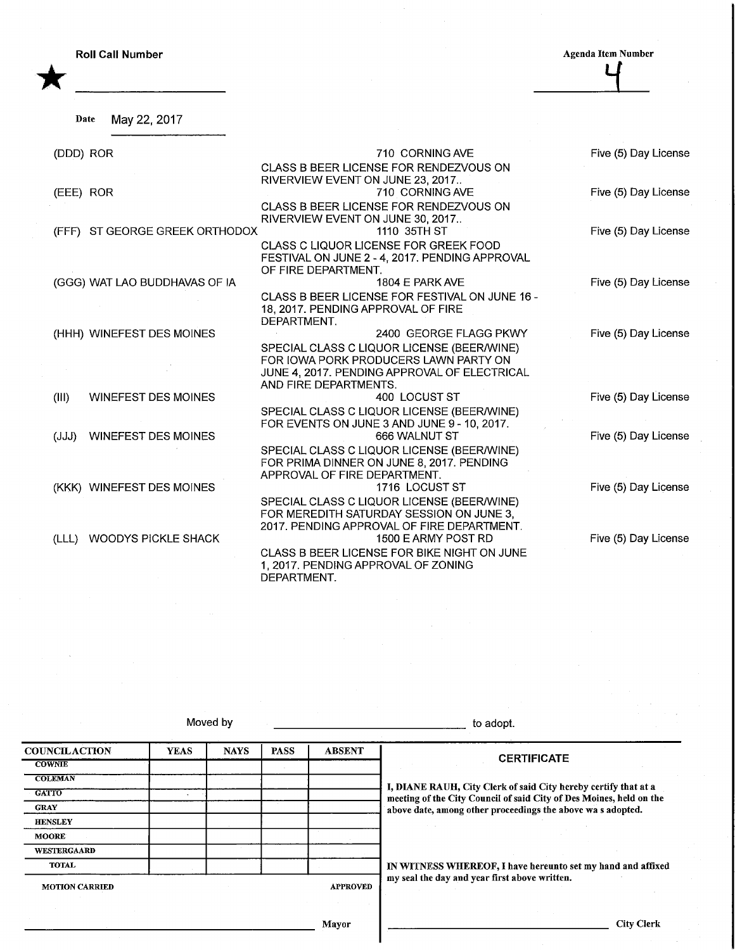**Roll Call Number** 

\*

**Agenda Item Number** 

Date May 22, 2017

| (DDD) ROR                           | 710 CORNING AVE                                                                         | Five (5) Day License |
|-------------------------------------|-----------------------------------------------------------------------------------------|----------------------|
|                                     | CLASS B BEER LICENSE FOR RENDEZVOUS ON<br>RIVERVIEW EVENT ON JUNE 23, 2017              |                      |
| (EEE) ROR                           | 710 CORNING AVE                                                                         | Five (5) Day License |
|                                     | CLASS B BEER LICENSE FOR RENDEZVOUS ON<br>RIVERVIEW EVENT ON JUNE 30, 2017              |                      |
| ST GEORGE GREEK ORTHODOX<br>(FFF)   | 1110 35TH ST                                                                            | Five (5) Day License |
|                                     | CLASS C LIQUOR LICENSE FOR GREEK FOOD                                                   |                      |
|                                     | FESTIVAL ON JUNE 2 - 4, 2017. PENDING APPROVAL<br>OF FIRE DEPARTMENT.                   |                      |
| (GGG) WAT LAO BUDDHAVAS OF IA       | 1804 E PARK AVE                                                                         | Five (5) Day License |
|                                     | CLASS B BEER LICENSE FOR FESTIVAL ON JUNE 16 -                                          |                      |
|                                     | 18, 2017. PENDING APPROVAL OF FIRE<br>DEPARTMENT.                                       |                      |
| (HHH) WINEFEST DES MOINES           | 2400 GEORGE FLAGG PKWY                                                                  | Five (5) Day License |
|                                     | SPECIAL CLASS C LIQUOR LICENSE (BEER/WINE)                                              |                      |
|                                     | FOR IOWA PORK PRODUCERS LAWN PARTY ON<br>JUNE 4, 2017. PENDING APPROVAL OF ELECTRICAL   |                      |
|                                     | AND FIRE DEPARTMENTS.                                                                   |                      |
| (III)<br><b>WINEFEST DES MOINES</b> | 400 LOCUST ST                                                                           | Five (5) Day License |
|                                     | SPECIAL CLASS C LIQUOR LICENSE (BEER/WINE)                                              |                      |
|                                     | FOR EVENTS ON JUNE 3 AND JUNE 9 - 10, 2017.                                             |                      |
| <b>WINEFEST DES MOINES</b><br>(JJJ) | 666 WALNUT ST                                                                           | Five (5) Day License |
|                                     | SPECIAL CLASS C LIQUOR LICENSE (BEER/WINE)<br>FOR PRIMA DINNER ON JUNE 8, 2017. PENDING |                      |
|                                     | APPROVAL OF FIRE DEPARTMENT.                                                            |                      |
| (KKK) WINEFEST DES MOINES           | 1716 LOCUST ST                                                                          | Five (5) Day License |
|                                     | SPECIAL CLASS C LIQUOR LICENSE (BEER/WINE)                                              |                      |
|                                     | FOR MEREDITH SATURDAY SESSION ON JUNE 3,<br>2017. PENDING APPROVAL OF FIRE DEPARTMENT.  |                      |
| <b>WOODYS PICKLE SHACK</b><br>(LLL) | 1500 E ARMY POST RD                                                                     | Five (5) Day License |
|                                     | CLASS B BEER LICENSE FOR BIKE NIGHT ON JUNE                                             |                      |
|                                     | 1, 2017. PENDING APPROVAL OF ZONING                                                     |                      |
|                                     | DEPARTMENT.                                                                             |                      |

Moved by the contract of the contract of the contract of the dept.

**COUNCILACTION COWNIE COLEMAN GATTO GRAY HENSLEY** MOORE WESTERGAARD TOTAL **MOTION CARRIED** YEAS | NAYS | PASS | ABSENT APPROVED **CERTIFICATE** I, DIANE RAUH, City Clerk of said City hereby certify that at a meeting of the City Council of said City of Des Moines, held on the above date, among other proceedings the above wa s adopted. IN WITNESS WHEREOF, I have hereunto set my hand and affixed my seal the day and year first above written.

Mayor